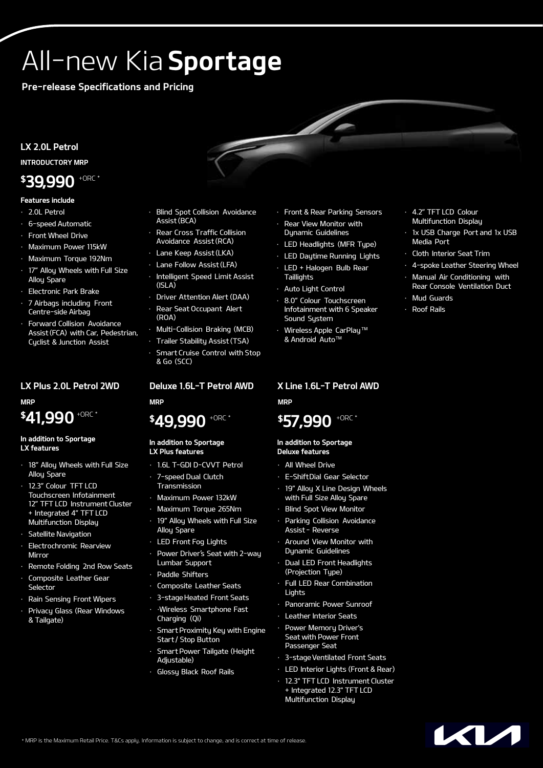# All-new Kia Sportage

Pre-release Specifications and Pricing

### LX 2.0L Petrol

INTRODUCTORY MRP

# \$39,990 +ORC \*

#### Features include

- · 2.0L Petrol
- · 6-speed Automatic
- Front Wheel Drive
- · Maximum Power 115kW
- · Maximum Torque 192Nm
- 17" Alloy Wheels with Full Size Alloy Spare
- **Electronic Park Brake**
- · 7 Airbags including Front Centre-side Airbag
- Forward Collision Avoidance Assist (FCA) with Car, Pedestrian, Cyclist & Junction Assist

### LX Plus 2.0L Petrol 2WD

MRP \$41,990 +ORC \*

#### In addition to Sportage LX features

- · 18" Alloy Wheels with Full Size Allou Spare
- · 12.3" Colour TFT LCD Touchscreen Infotainment 12" TFT LCD Instrument Cluster + Integrated 4" TFT LCD Multifunction Display
- · Satellite Navigation
- Electrochromic Rearview Mirror
- · Remote Folding 2nd Row Seats
- Composite Leather Gear Selector
- Rain Sensing Front Wipers
- Privacy Glass (Rear Windows & Tailgate)
- **Blind Spot Collision Avoidance** Assist (BCA)
- Rear Cross Traffic Collision Avoidance Assist (RCA)
- Lane Keep Assist (LKA)
- Lane Follow Assist (LFA)
- Intelligent Speed Limit Assist  $(ISI A)$
- Driver Attention Alert (DAA)
- Rear Seat Occupant Alert (ROA)
- · Multi-Collision Braking (MCB)
- · Trailer Stability Assist (TSA)
- Smart Cruise Control with Stop & Go (SCC)

### Deluxe 1.6L-T Petrol AWD MRP

# \$49.990 +ORC

#### In addition to Sportage LX Plus features

- · 1.6L T-GDI D-CVVT Petrol
- 7-speed Dual Clutch Transmission
- · Maximum Power 132kW
- · Maximum Torque 265Nm
- 19" Alloy Wheels with Full Size Alloy Spare
- LED Front Fog Lights
- Power Driver's Seat with 2-wau Lumbar Support
- Paddle Shifters
- · Composite Leather Seats
- · 3-stageHeated Front Seats
- · ·Wireless Smartphone Fast Charging (Qi)
- Smart Proximity Key with Engine Start / Stop Button
- **Smart Power Tailgate (Height** Adjustable)
- · Glossy Black Roof Rails
- · Front & Rear Parking Sensors
- **Rear View Monitor with** Dunamic Guidelines
- · LED Headlights (MFR Type)
- · LED Daytime Running Lights
- LED + Halogen Bulb Rear
- **Taillights**
- · Auto Light Control
- · 8.0" Colour Touchscreen Infotainment with 6 Speaker Sound System
- Wireless Apple CarPlay™ & Android AutoTM

## X Line 1.6L-T Petrol AWD

MRP



#### In addition to Sportage Deluxe features

- All Wheel Drive
- · E-ShiftDial Gear Selector
- 19" Alloy X Line Design Wheels with Full Size Alloy Spare
- **Blind Spot View Monitor**
- Parking Collision Avoidance Assist – Reverse
- Around View Monitor with Dynamic Guidelines
- Dual LED Front Headlights (Projection Type)
- Full LED Rear Combination Lights
- Panoramic Power Sunroof
- · Leather Interior Seats
- Power Memory Driver's Seat with Power Front Passenger Seat
- · 3-stageVentilated Front Seats
- · LED Interior Lights (Front & Rear)
- 12.3" TFT LCD Instrument Cluster + Integrated 12.3" TFT LCD Multifunction Display
- · 4.2" TFT LCD Colour Multifunction Display
- 1x USB Charge Port and 1x USB Media Port
- Cloth Interior Seat Trim
- 4-spoke Leather Steering Wheel
- Manual Air Conditioning with Rear Console Ventilation Duct
- Mud Guards
- · Roof Rails